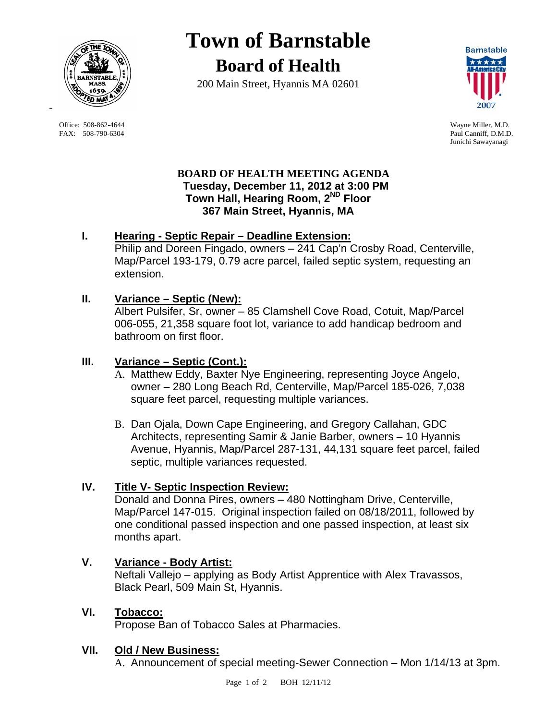

 Office: 508-862-4644 Wayne Miller, M.D. FAX: 508-790-6304 Paul Canniff, D.M.D.

-

# **Town of Barnstable Board of Health**

200 Main Street, Hyannis MA 02601



Junichi Sawayanagi

#### **BOARD OF HEALTH MEETING AGENDA Tuesday, December 11, 2012 at 3:00 PM Town Hall, Hearing Room, 2ND Floor 367 Main Street, Hyannis, MA**

## **I. Hearing - Septic Repair – Deadline Extension:**

Philip and Doreen Fingado, owners – 241 Cap'n Crosby Road, Centerville, Map/Parcel 193-179, 0.79 acre parcel, failed septic system, requesting an extension.

### **II. Variance – Septic (New):**

Albert Pulsifer, Sr, owner – 85 Clamshell Cove Road, Cotuit, Map/Parcel 006-055, 21,358 square foot lot, variance to add handicap bedroom and bathroom on first floor.

## **III. Variance – Septic (Cont.):**

- A. Matthew Eddy, Baxter Nye Engineering, representing Joyce Angelo, owner – 280 Long Beach Rd, Centerville, Map/Parcel 185-026, 7,038 square feet parcel, requesting multiple variances.
- B. Dan Ojala, Down Cape Engineering, and Gregory Callahan, GDC Architects, representing Samir & Janie Barber, owners – 10 Hyannis Avenue, Hyannis, Map/Parcel 287-131, 44,131 square feet parcel, failed septic, multiple variances requested.

### **IV. Title V- Septic Inspection Review:**

Donald and Donna Pires, owners – 480 Nottingham Drive, Centerville, Map/Parcel 147-015. Original inspection failed on 08/18/2011, followed by one conditional passed inspection and one passed inspection, at least six months apart.

### **V. Variance - Body Artist:**

Neftali Vallejo – applying as Body Artist Apprentice with Alex Travassos, Black Pearl, 509 Main St, Hyannis.

### **VI. Tobacco:**

Propose Ban of Tobacco Sales at Pharmacies.

#### **VII. Old / New Business:**

A. Announcement of special meeting-Sewer Connection – Mon 1/14/13 at 3pm.